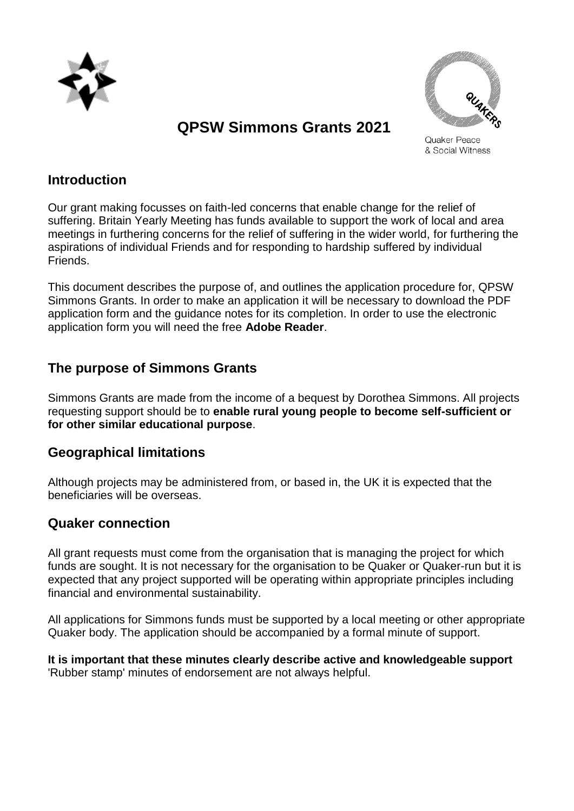

# **QPSW Simmons Grants 2021**



Quaker Peace & Social Witness

#### **Introduction**

Our grant making focusses on faith-led concerns that enable change for the relief of suffering. Britain Yearly Meeting has funds available to support the work of local and area meetings in furthering concerns for the relief of suffering in the wider world, for furthering the aspirations of individual Friends and for responding to hardship suffered by individual **Friends** 

This document describes the purpose of, and outlines the application procedure for, QPSW Simmons Grants. In order to make an application it will be necessary to download the PDF application form and the guidance notes for its completion. In order to use the electronic application form you will need the free **Adobe Reader**.

# **The purpose of Simmons Grants**

Simmons Grants are made from the income of a bequest by Dorothea Simmons. All projects requesting support should be to **enable rural young people to become self-sufficient or for other similar educational purpose**.

### **Geographical limitations**

Although projects may be administered from, or based in, the UK it is expected that the beneficiaries will be overseas.

# **Quaker connection**

All grant requests must come from the organisation that is managing the project for which funds are sought. It is not necessary for the organisation to be Quaker or Quaker-run but it is expected that any project supported will be operating within appropriate principles including financial and environmental sustainability.

All applications for Simmons funds must be supported by a local meeting or other appropriate Quaker body. The application should be accompanied by a formal minute of support.

**It is important that these minutes clearly describe active and knowledgeable support** 'Rubber stamp' minutes of endorsement are not always helpful.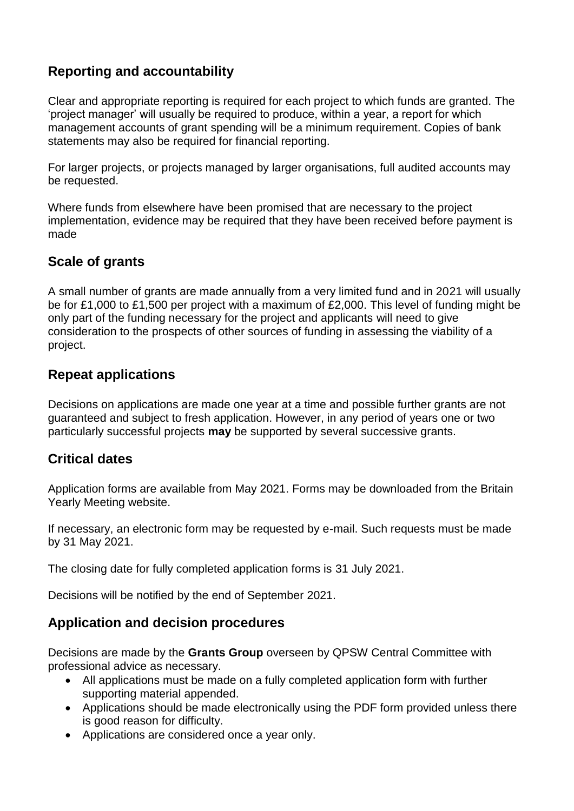# **Reporting and accountability**

Clear and appropriate reporting is required for each project to which funds are granted. The 'project manager' will usually be required to produce, within a year, a report for which management accounts of grant spending will be a minimum requirement. Copies of bank statements may also be required for financial reporting.

For larger projects, or projects managed by larger organisations, full audited accounts may be requested.

Where funds from elsewhere have been promised that are necessary to the project implementation, evidence may be required that they have been received before payment is made

### **Scale of grants**

A small number of grants are made annually from a very limited fund and in 2021 will usually be for £1,000 to £1,500 per project with a maximum of £2,000. This level of funding might be only part of the funding necessary for the project and applicants will need to give consideration to the prospects of other sources of funding in assessing the viability of a project.

### **Repeat applications**

Decisions on applications are made one year at a time and possible further grants are not guaranteed and subject to fresh application. However, in any period of years one or two particularly successful projects **may** be supported by several successive grants.

### **Critical dates**

Application forms are available from May 2021. Forms may be downloaded from the Britain Yearly Meeting website.

If necessary, an electronic form may be requested by e-mail. Such requests must be made by 31 May 2021.

The closing date for fully completed application forms is 31 July 2021.

Decisions will be notified by the end of September 2021.

### **Application and decision procedures**

Decisions are made by the **Grants Group** overseen by QPSW Central Committee with professional advice as necessary.

- All applications must be made on a fully completed application form with further supporting material appended.
- Applications should be made electronically using the PDF form provided unless there is good reason for difficulty.
- Applications are considered once a year only.